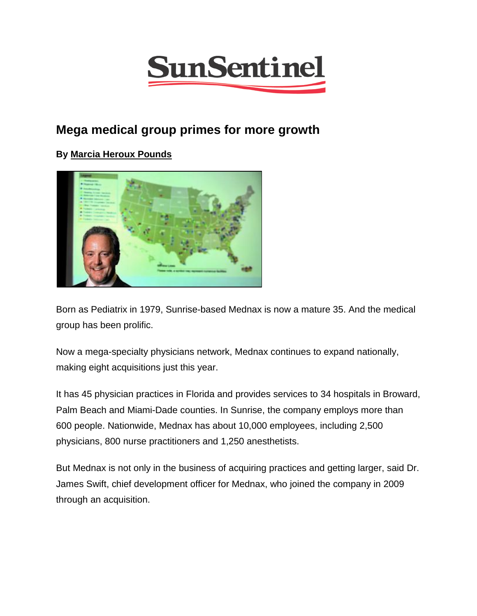

## **Mega medical group primes for more growth**

## **By [Marcia Heroux Pounds](http://www.sun-sentinel.com/soflanews-marcia-heroux-pounds-20130507-staff.html)**



Born as Pediatrix in 1979, Sunrise-based Mednax is now a mature 35. And the medical group has been prolific.

Now a mega-specialty physicians network, Mednax continues to expand nationally, making eight acquisitions just this year.

It has 45 physician practices in Florida and provides services to 34 hospitals in Broward, Palm Beach and Miami-Dade counties. In Sunrise, the company employs more than 600 people. Nationwide, Mednax has about 10,000 employees, including 2,500 physicians, 800 nurse practitioners and 1,250 anesthetists.

But Mednax is not only in the business of acquiring practices and getting larger, said Dr. James Swift, chief development officer for Mednax, who joined the company in 2009 through an acquisition.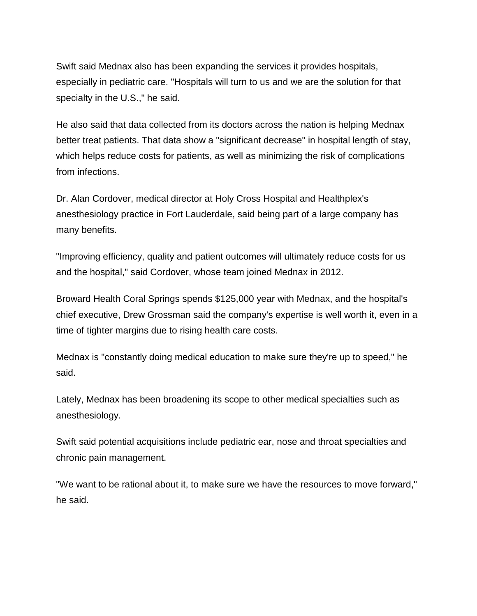Swift said Mednax also has been expanding the services it provides hospitals, especially in pediatric care. "Hospitals will turn to us and we are the solution for that specialty in the U.S.," he said.

He also said that data collected from its doctors across the nation is helping Mednax better treat patients. That data show a "significant decrease" in hospital length of stay, which helps reduce costs for patients, as well as minimizing the risk of complications from infections.

Dr. Alan Cordover, medical director at Holy Cross Hospital and Healthplex's anesthesiology practice in Fort Lauderdale, said being part of a large company has many benefits.

"Improving efficiency, quality and patient outcomes will ultimately reduce costs for us and the hospital," said Cordover, whose team joined Mednax in 2012.

Broward Health Coral Springs spends \$125,000 year with Mednax, and the hospital's chief executive, Drew Grossman said the company's expertise is well worth it, even in a time of tighter margins due to rising health care costs.

Mednax is "constantly doing medical education to make sure they're up to speed," he said.

Lately, Mednax has been broadening its scope to other medical specialties such as anesthesiology.

Swift said potential acquisitions include pediatric ear, nose and throat specialties and chronic pain management.

"We want to be rational about it, to make sure we have the resources to move forward," he said.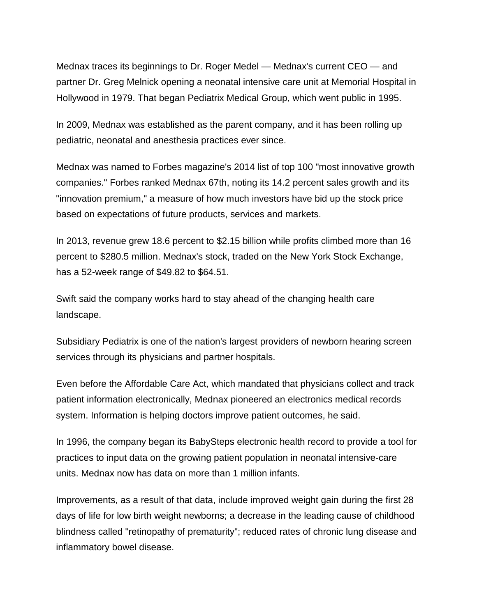Mednax traces its beginnings to Dr. Roger Medel — Mednax's current CEO — and partner Dr. Greg Melnick opening a neonatal intensive care unit at Memorial Hospital in Hollywood in 1979. That began Pediatrix Medical Group, which went public in 1995.

In 2009, Mednax was established as the parent company, and it has been rolling up pediatric, neonatal and anesthesia practices ever since.

Mednax was named to Forbes magazine's 2014 list of top 100 "most innovative growth companies." Forbes ranked Mednax 67th, noting its 14.2 percent sales growth and its "innovation premium," a measure of how much investors have bid up the stock price based on expectations of future products, services and markets.

In 2013, revenue grew 18.6 percent to \$2.15 billion while profits climbed more than 16 percent to \$280.5 million. Mednax's stock, traded on the New York Stock Exchange, has a 52-week range of \$49.82 to \$64.51.

Swift said the company works hard to stay ahead of the changing health care landscape.

Subsidiary Pediatrix is one of the nation's largest providers of newborn hearing screen services through its physicians and partner hospitals.

Even before the Affordable Care Act, which mandated that physicians collect and track patient information electronically, Mednax pioneered an electronics medical records system. Information is helping doctors improve patient outcomes, he said.

In 1996, the company began its BabySteps electronic health record to provide a tool for practices to input data on the growing patient population in neonatal intensive-care units. Mednax now has data on more than 1 million infants.

Improvements, as a result of that data, include improved weight gain during the first 28 days of life for low birth weight newborns; a decrease in the leading cause of childhood blindness called "retinopathy of prematurity"; reduced rates of chronic lung disease and inflammatory bowel disease.